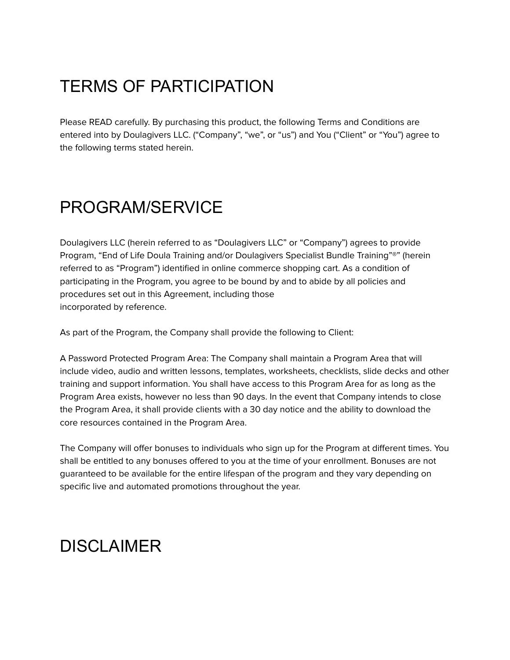## TERMS OF PARTICIPATION

Please READ carefully. By purchasing this product, the following Terms and Conditions are entered into by Doulagivers LLC. ("Company", "we", or "us") and You ("Client" or "You") agree to the following terms stated herein.

### PROGRAM/SERVICE

Doulagivers LLC (herein referred to as "Doulagivers LLC" or "Company") agrees to provide Program, "End of Life Doula Training and/or Doulagivers Specialist Bundle Training"®" (herein referred to as "Program") identified in online commerce shopping cart. As a condition of participating in the Program, you agree to be bound by and to abide by all policies and procedures set out in this Agreement, including those incorporated by reference.

As part of the Program, the Company shall provide the following to Client:

A Password Protected Program Area: The Company shall maintain a Program Area that will include video, audio and written lessons, templates, worksheets, checklists, slide decks and other training and support information. You shall have access to this Program Area for as long as the Program Area exists, however no less than 90 days. In the event that Company intends to close the Program Area, it shall provide clients with a 30 day notice and the ability to download the core resources contained in the Program Area.

The Company will offer bonuses to individuals who sign up for the Program at different times. You shall be entitled to any bonuses offered to you at the time of your enrollment. Bonuses are not guaranteed to be available for the entire lifespan of the program and they vary depending on specific live and automated promotions throughout the year.

### DISCI AIMFR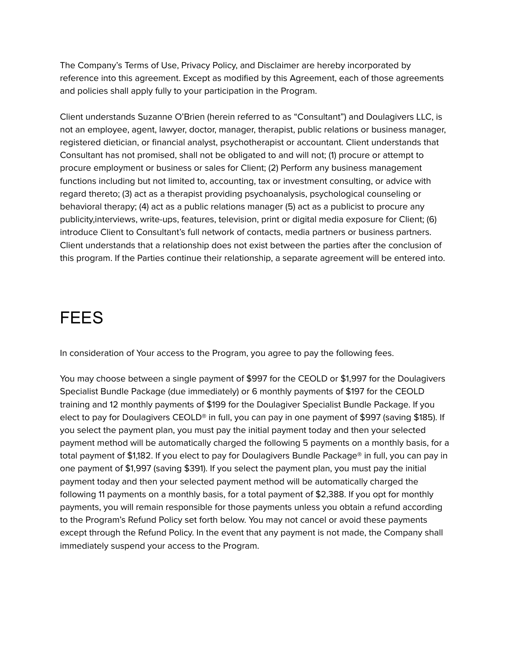The Company's Terms of Use, Privacy Policy, and Disclaimer are hereby incorporated by reference into this agreement. Except as modified by this Agreement, each of those agreements and policies shall apply fully to your participation in the Program.

Client understands Suzanne O'Brien (herein referred to as "Consultant") and Doulagivers LLC, is not an employee, agent, lawyer, doctor, manager, therapist, public relations or business manager, registered dietician, or financial analyst, psychotherapist or accountant. Client understands that Consultant has not promised, shall not be obligated to and will not; (1) procure or attempt to procure employment or business or sales for Client; (2) Perform any business management functions including but not limited to, accounting, tax or investment consulting, or advice with regard thereto; (3) act as a therapist providing psychoanalysis, psychological counseling or behavioral therapy; (4) act as a public relations manager (5) act as a publicist to procure any publicity,interviews, write-ups, features, television, print or digital media exposure for Client; (6) introduce Client to Consultant's full network of contacts, media partners or business partners. Client understands that a relationship does not exist between the parties after the conclusion of this program. If the Parties continue their relationship, a separate agreement will be entered into.

#### FEES

In consideration of Your access to the Program, you agree to pay the following fees.

You may choose between a single payment of \$997 for the CEOLD or \$1,997 for the Doulagivers Specialist Bundle Package (due immediately) or 6 monthly payments of \$197 for the CEOLD training and 12 monthly payments of \$199 for the Doulagiver Specialist Bundle Package. If you elect to pay for Doulagivers CEOLD® in full, you can pay in one payment of \$997 (saving \$185). If you select the payment plan, you must pay the initial payment today and then your selected payment method will be automatically charged the following 5 payments on a monthly basis, for a total payment of \$1,182. If you elect to pay for Doulagivers Bundle Package® in full, you can pay in one payment of \$1,997 (saving \$391). If you select the payment plan, you must pay the initial payment today and then your selected payment method will be automatically charged the following 11 payments on a monthly basis, for a total payment of \$2,388. If you opt for monthly payments, you will remain responsible for those payments unless you obtain a refund according to the Program's Refund Policy set forth below. You may not cancel or avoid these payments except through the Refund Policy. In the event that any payment is not made, the Company shall immediately suspend your access to the Program.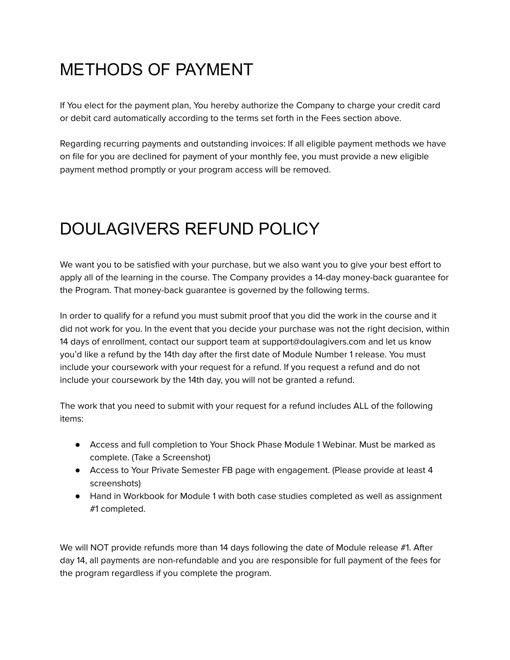## METHODS OF PAYMENT

If You elect for the payment plan, You hereby authorize the Company to charge your credit card or debit card automatically according to the terms set forth in the Fees section above.

Regarding recurring payments and outstanding invoices: If all eligible payment methods we have on file for you are declined for payment of your monthly fee, you must provide a new eligible payment method promptly or your program access will be removed.

# DOULAGIVERS REFUND POLICY

We want you to be satisfied with your purchase, but we also want you to give your best effort to apply all of the learning in the course. The Company provides a 14-day money-back guarantee for the Program. That money-back guarantee is governed by the following terms.

In order to qualify for a refund you must submit proof that you did the work in the course and it did not work for you. In the event that you decide your purchase was not the right decision, within 14 days of enrollment, contact our support team at support@doulagivers.com and let us know you'd like a refund by the 14th day after the first date of Module Number 1 release. You must include your coursework with your request for a refund. If you request a refund and do not include your coursework by the 14th day, you will not be granted a refund.

The work that you need to submit with your request for a refund includes ALL of the following items:

- Access and full completion to Your Shock Phase Module 1 Webinar. Must be marked as complete. (Take a Screenshot)
- Access to Your Private Semester FB page with engagement. (Please provide at least 4 screenshots)
- Hand in Workbook for Module 1 with both case studies completed as well as assignment #1 completed.

We will NOT provide refunds more than 14 days following the date of Module release #1. After day 14, all payments are non-refundable and you are responsible for full payment of the fees for the program regardless if you complete the program.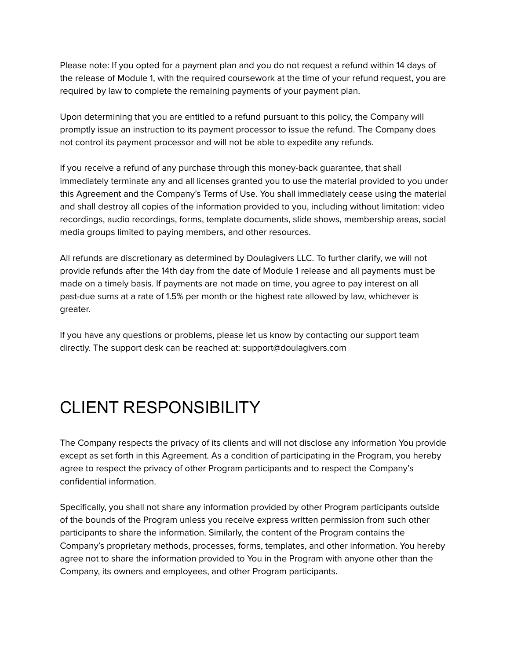Please note: If you opted for a payment plan and you do not request a refund within 14 days of the release of Module 1, with the required coursework at the time of your refund request, you are required by law to complete the remaining payments of your payment plan.

Upon determining that you are entitled to a refund pursuant to this policy, the Company will promptly issue an instruction to its payment processor to issue the refund. The Company does not control its payment processor and will not be able to expedite any refunds.

If you receive a refund of any purchase through this money-back guarantee, that shall immediately terminate any and all licenses granted you to use the material provided to you under this Agreement and the Company's Terms of Use. You shall immediately cease using the material and shall destroy all copies of the information provided to you, including without limitation: video recordings, audio recordings, forms, template documents, slide shows, membership areas, social media groups limited to paying members, and other resources.

All refunds are discretionary as determined by Doulagivers LLC. To further clarify, we will not provide refunds after the 14th day from the date of Module 1 release and all payments must be made on a timely basis. If payments are not made on time, you agree to pay interest on all past-due sums at a rate of 1.5% per month or the highest rate allowed by law, whichever is greater.

If you have any questions or problems, please let us know by contacting our support team directly. The support desk can be reached at: support@doulagivers.com

## CLIENT RESPONSIBILITY

The Company respects the privacy of its clients and will not disclose any information You provide except as set forth in this Agreement. As a condition of participating in the Program, you hereby agree to respect the privacy of other Program participants and to respect the Company's confidential information.

Specifically, you shall not share any information provided by other Program participants outside of the bounds of the Program unless you receive express written permission from such other participants to share the information. Similarly, the content of the Program contains the Company's proprietary methods, processes, forms, templates, and other information. You hereby agree not to share the information provided to You in the Program with anyone other than the Company, its owners and employees, and other Program participants.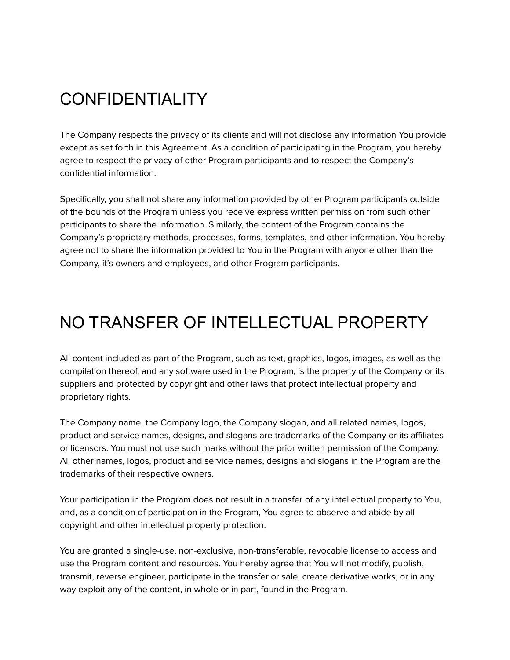## **CONFIDENTIALITY**

The Company respects the privacy of its clients and will not disclose any information You provide except as set forth in this Agreement. As a condition of participating in the Program, you hereby agree to respect the privacy of other Program participants and to respect the Company's confidential information.

Specifically, you shall not share any information provided by other Program participants outside of the bounds of the Program unless you receive express written permission from such other participants to share the information. Similarly, the content of the Program contains the Company's proprietary methods, processes, forms, templates, and other information. You hereby agree not to share the information provided to You in the Program with anyone other than the Company, it's owners and employees, and other Program participants.

### NO TRANSFER OF INTELLECTUAL PROPERTY

All content included as part of the Program, such as text, graphics, logos, images, as well as the compilation thereof, and any software used in the Program, is the property of the Company or its suppliers and protected by copyright and other laws that protect intellectual property and proprietary rights.

The Company name, the Company logo, the Company slogan, and all related names, logos, product and service names, designs, and slogans are trademarks of the Company or its affiliates or licensors. You must not use such marks without the prior written permission of the Company. All other names, logos, product and service names, designs and slogans in the Program are the trademarks of their respective owners.

Your participation in the Program does not result in a transfer of any intellectual property to You, and, as a condition of participation in the Program, You agree to observe and abide by all copyright and other intellectual property protection.

You are granted a single-use, non-exclusive, non-transferable, revocable license to access and use the Program content and resources. You hereby agree that You will not modify, publish, transmit, reverse engineer, participate in the transfer or sale, create derivative works, or in any way exploit any of the content, in whole or in part, found in the Program.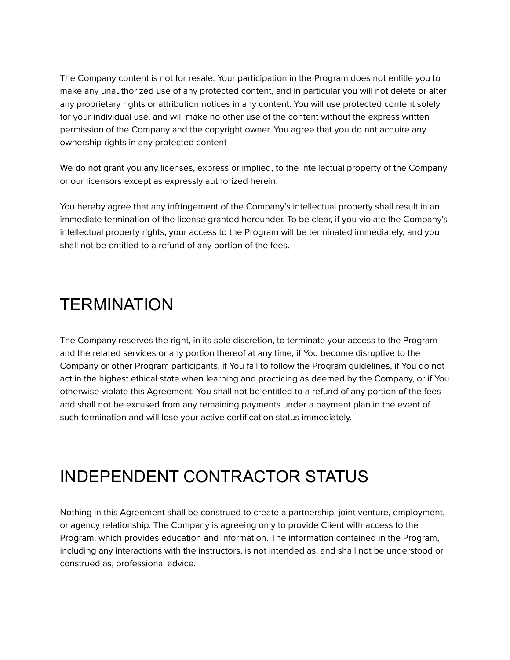The Company content is not for resale. Your participation in the Program does not entitle you to make any unauthorized use of any protected content, and in particular you will not delete or alter any proprietary rights or attribution notices in any content. You will use protected content solely for your individual use, and will make no other use of the content without the express written permission of the Company and the copyright owner. You agree that you do not acquire any ownership rights in any protected content

We do not grant you any licenses, express or implied, to the intellectual property of the Company or our licensors except as expressly authorized herein.

You hereby agree that any infringement of the Company's intellectual property shall result in an immediate termination of the license granted hereunder. To be clear, if you violate the Company's intellectual property rights, your access to the Program will be terminated immediately, and you shall not be entitled to a refund of any portion of the fees.

#### TERMINATION

The Company reserves the right, in its sole discretion, to terminate your access to the Program and the related services or any portion thereof at any time, if You become disruptive to the Company or other Program participants, if You fail to follow the Program guidelines, if You do not act in the highest ethical state when learning and practicing as deemed by the Company, or if You otherwise violate this Agreement. You shall not be entitled to a refund of any portion of the fees and shall not be excused from any remaining payments under a payment plan in the event of such termination and will lose your active certification status immediately.

## INDEPENDENT CONTRACTOR STATUS

Nothing in this Agreement shall be construed to create a partnership, joint venture, employment, or agency relationship. The Company is agreeing only to provide Client with access to the Program, which provides education and information. The information contained in the Program, including any interactions with the instructors, is not intended as, and shall not be understood or construed as, professional advice.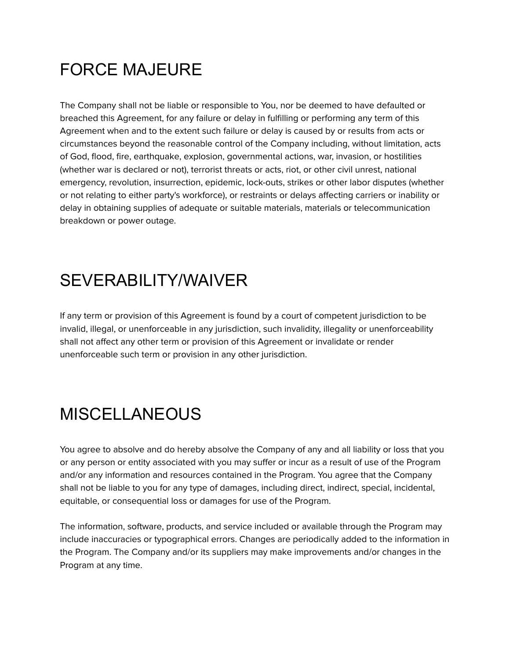## FORCE MAJEURE

The Company shall not be liable or responsible to You, nor be deemed to have defaulted or breached this Agreement, for any failure or delay in fulfilling or performing any term of this Agreement when and to the extent such failure or delay is caused by or results from acts or circumstances beyond the reasonable control of the Company including, without limitation, acts of God, flood, fire, earthquake, explosion, governmental actions, war, invasion, or hostilities (whether war is declared or not), terrorist threats or acts, riot, or other civil unrest, national emergency, revolution, insurrection, epidemic, lock-outs, strikes or other labor disputes (whether or not relating to either party's workforce), or restraints or delays affecting carriers or inability or delay in obtaining supplies of adequate or suitable materials, materials or telecommunication breakdown or power outage.

## SEVERABILITY/WAIVER

If any term or provision of this Agreement is found by a court of competent jurisdiction to be invalid, illegal, or unenforceable in any jurisdiction, such invalidity, illegality or unenforceability shall not affect any other term or provision of this Agreement or invalidate or render unenforceable such term or provision in any other jurisdiction.

## **MISCELLANEOUS**

You agree to absolve and do hereby absolve the Company of any and all liability or loss that you or any person or entity associated with you may suffer or incur as a result of use of the Program and/or any information and resources contained in the Program. You agree that the Company shall not be liable to you for any type of damages, including direct, indirect, special, incidental, equitable, or consequential loss or damages for use of the Program.

The information, software, products, and service included or available through the Program may include inaccuracies or typographical errors. Changes are periodically added to the information in the Program. The Company and/or its suppliers may make improvements and/or changes in the Program at any time.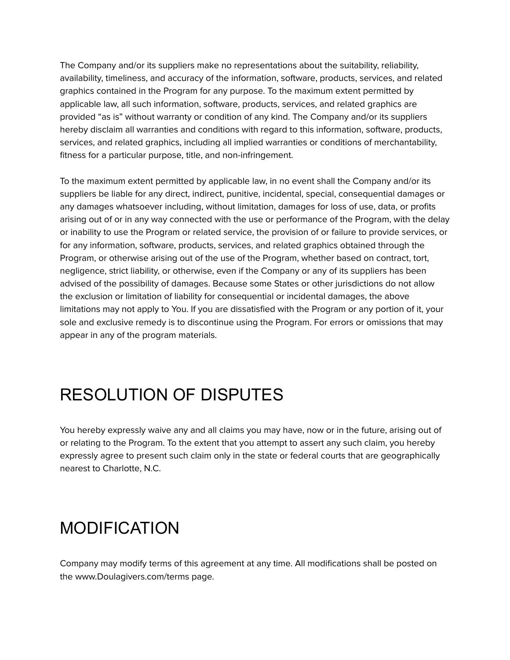The Company and/or its suppliers make no representations about the suitability, reliability, availability, timeliness, and accuracy of the information, software, products, services, and related graphics contained in the Program for any purpose. To the maximum extent permitted by applicable law, all such information, software, products, services, and related graphics are provided "as is" without warranty or condition of any kind. The Company and/or its suppliers hereby disclaim all warranties and conditions with regard to this information, software, products, services, and related graphics, including all implied warranties or conditions of merchantability, fitness for a particular purpose, title, and non-infringement.

To the maximum extent permitted by applicable law, in no event shall the Company and/or its suppliers be liable for any direct, indirect, punitive, incidental, special, consequential damages or any damages whatsoever including, without limitation, damages for loss of use, data, or profits arising out of or in any way connected with the use or performance of the Program, with the delay or inability to use the Program or related service, the provision of or failure to provide services, or for any information, software, products, services, and related graphics obtained through the Program, or otherwise arising out of the use of the Program, whether based on contract, tort, negligence, strict liability, or otherwise, even if the Company or any of its suppliers has been advised of the possibility of damages. Because some States or other jurisdictions do not allow the exclusion or limitation of liability for consequential or incidental damages, the above limitations may not apply to You. If you are dissatisfied with the Program or any portion of it, your sole and exclusive remedy is to discontinue using the Program. For errors or omissions that may appear in any of the program materials.

## RESOLUTION OF DISPUTES

You hereby expressly waive any and all claims you may have, now or in the future, arising out of or relating to the Program. To the extent that you attempt to assert any such claim, you hereby expressly agree to present such claim only in the state or federal courts that are geographically nearest to Charlotte, N.C.

### MODIFICATION

Company may modify terms of this agreement at any time. All modifications shall be posted on the www.Doulagivers.com/terms page.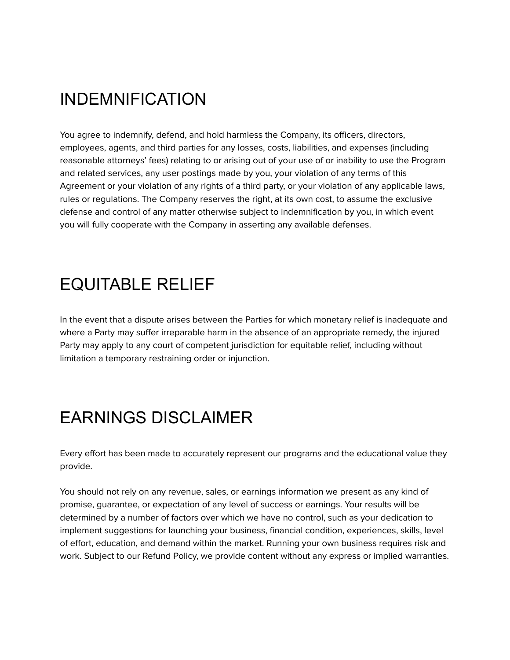### INDEMNIFICATION

You agree to indemnify, defend, and hold harmless the Company, its officers, directors, employees, agents, and third parties for any losses, costs, liabilities, and expenses (including reasonable attorneys' fees) relating to or arising out of your use of or inability to use the Program and related services, any user postings made by you, your violation of any terms of this Agreement or your violation of any rights of a third party, or your violation of any applicable laws, rules or regulations. The Company reserves the right, at its own cost, to assume the exclusive defense and control of any matter otherwise subject to indemnification by you, in which event you will fully cooperate with the Company in asserting any available defenses.

### EQUITABLE RELIEF

In the event that a dispute arises between the Parties for which monetary relief is inadequate and where a Party may suffer irreparable harm in the absence of an appropriate remedy, the injured Party may apply to any court of competent jurisdiction for equitable relief, including without limitation a temporary restraining order or injunction.

## EARNINGS DISCLAIMER

Every effort has been made to accurately represent our programs and the educational value they provide.

You should not rely on any revenue, sales, or earnings information we present as any kind of promise, guarantee, or expectation of any level of success or earnings. Your results will be determined by a number of factors over which we have no control, such as your dedication to implement suggestions for launching your business, financial condition, experiences, skills, level of effort, education, and demand within the market. Running your own business requires risk and work. Subject to our Refund Policy, we provide content without any express or implied warranties.